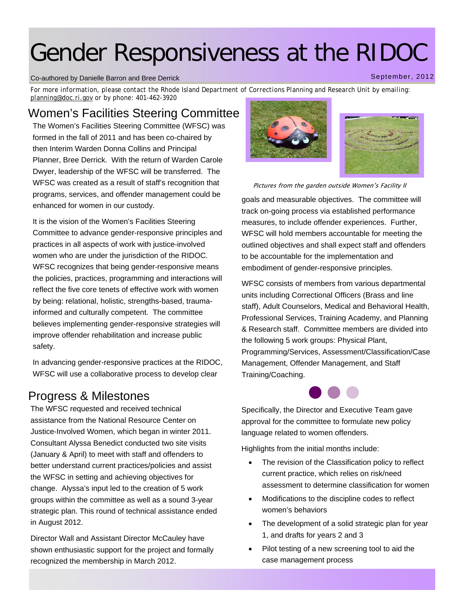# Gender Responsiveness at the RIDOC

#### Co-authored by Danielle Barron and Bree Derrick

*For more information, please contact the Rhode Island Department of Corrections Planning and Research Unit by emailing: planning@doc.ri.gov or by phone: 401-462-3920* 

#### Women's Facilities Steering Committee

The Women's Facilities Steering Committee (WFSC) was formed in the fall of 2011 and has been co-chaired by then Interim Warden Donna Collins and Principal Planner, Bree Derrick. With the return of Warden Carole Dwyer, leadership of the WFSC will be transferred. The WFSC was created as a result of staff's recognition that programs, services, and offender management could be enhanced for women in our custody.

It is the vision of the Women's Facilities Steering Committee to advance gender-responsive principles and practices in all aspects of work with justice-involved women who are under the jurisdiction of the RIDOC. WFSC recognizes that being gender-responsive means the policies, practices, programming and interactions will reflect the five core tenets of effective work with women by being: relational, holistic, strengths-based, traumainformed and culturally competent. The committee believes implementing gender-responsive strategies will improve offender rehabilitation and increase public safety.

In advancing gender-responsive practices at the RIDOC, WFSC will use a collaborative process to develop clear

### Progress & Milestones

The WFSC requested and received technical assistance from the National Resource Center on Justice-Involved Women, which began in winter 2011. Consultant Alyssa Benedict conducted two site visits (January & April) to meet with staff and offenders to better understand current practices/policies and assist the WFSC in setting and achieving objectives for change. Alyssa's input led to the creation of 5 work groups within the committee as well as a sound 3-year strategic plan. This round of technical assistance ended in August 2012.

Director Wall and Assistant Director McCauley have shown enthusiastic support for the project and formally recognized the membership in March 2012.



goals and measurable objectives. The committee will track on-going process via established performance measures, to include offender experiences. Further, WFSC will hold members accountable for meeting the outlined objectives and shall expect staff and offenders to be accountable for the implementation and embodiment of gender-responsive principles.

WFSC consists of members from various departmental units including Correctional Officers (Brass and line staff), Adult Counselors, Medical and Behavioral Health, Professional Services, Training Academy, and Planning & Research staff. Committee members are divided into the following 5 work groups: Physical Plant, Programming/Services, Assessment/Classification/Case Management, Offender Management, and Staff Training/Coaching.



Specifically, the Director and Executive Team gave approval for the committee to formulate new policy language related to women offenders.

Highlights from the initial months include:

- The revision of the Classification policy to reflect current practice, which relies on risk/need assessment to determine classification for women
- Modifications to the discipline codes to reflect women's behaviors
- The development of a solid strategic plan for year 1, and drafts for years 2 and 3
- Pilot testing of a new screening tool to aid the case management process